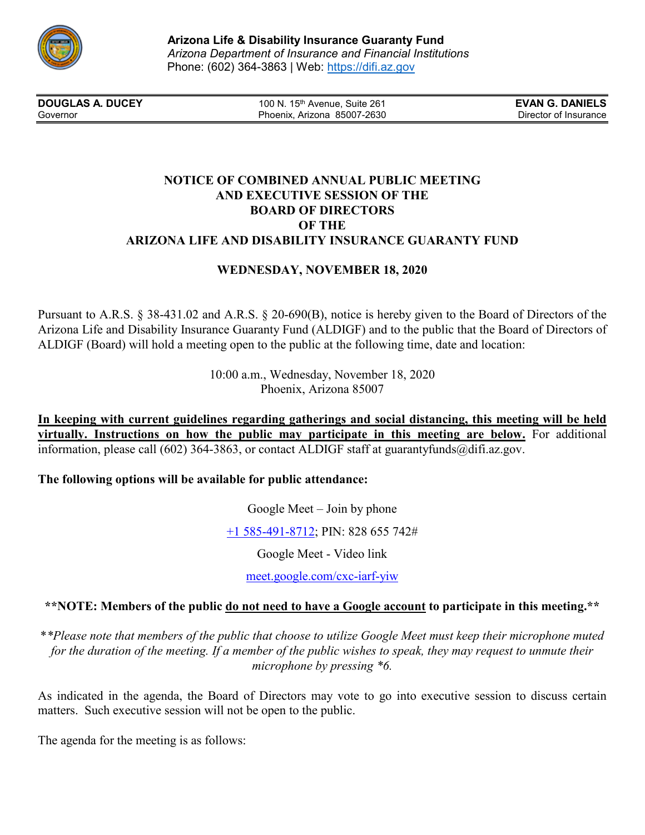

**DOUGLAS A. DUCEY** 100 N. 15<sup>th</sup> Avenue, Suite 261 **EVAN G. DANIELS** Governor **EVAN G. DANIELS EVAN G. DANIELS EVAN G. DANIELS** Governor **Phoenix, Arizona 85007-2630** Phoenix, Arizona 85007-2630

## **NOTICE OF COMBINED ANNUAL PUBLIC MEETING AND EXECUTIVE SESSION OF THE BOARD OF DIRECTORS OF THE ARIZONA LIFE AND DISABILITY INSURANCE GUARANTY FUND**

# **WEDNESDAY, NOVEMBER 18, 2020**

Pursuant to A.R.S. § 38-431.02 and A.R.S. § 20-690(B), notice is hereby given to the Board of Directors of the Arizona Life and Disability Insurance Guaranty Fund (ALDIGF) and to the public that the Board of Directors of ALDIGF (Board) will hold a meeting open to the public at the following time, date and location:

> 10:00 a.m., Wednesday, November 18, 2020 Phoenix, Arizona 85007

**In keeping with current guidelines regarding gatherings and social distancing, this meeting will be held virtually. Instructions on how the public may participate in this meeting are below.** For additional information, please call (602) 364-3863, or contact ALDIGF staff at guarantyfunds@difi.az.gov.

## **The following options will be available for public attendance:**

Google Meet – Join by phone

+1 [585-491-8712;](tel:%E2%80%AA+1%20585-491-8712%E2%80%AC) PIN: 828 655 742#

Google Meet - Video link

[meet.google.com/cxc-iarf-yiw](https://meet.google.com/cxc-iarf-yiw?hs=122&authuser=0)

## **\*\*NOTE: Members of the public do not need to have a Google account to participate in this meeting.\*\***

\**\*Please note that members of the public that choose to utilize Google Meet must keep their microphone muted for the duration of the meeting. If a member of the public wishes to speak, they may request to unmute their microphone by pressing \*6.*

As indicated in the agenda, the Board of Directors may vote to go into executive session to discuss certain matters. Such executive session will not be open to the public.

The agenda for the meeting is as follows: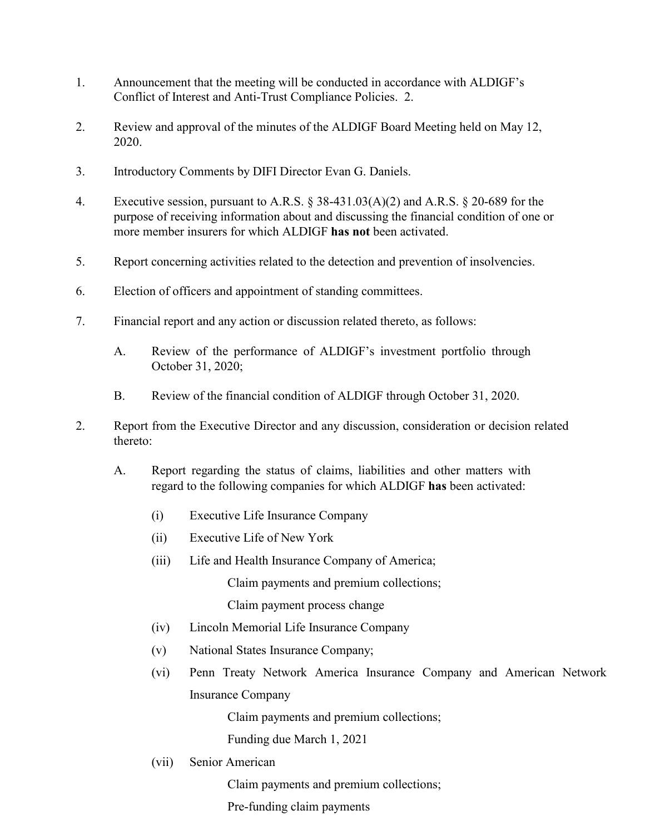- 1. Announcement that the meeting will be conducted in accordance with ALDIGF's Conflict of Interest and Anti-Trust Compliance Policies. 2.
- 2. Review and approval of the minutes of the ALDIGF Board Meeting held on May 12, 2020.
- 3. Introductory Comments by DIFI Director Evan G. Daniels.
- 4. Executive session, pursuant to A.R.S. § 38-431.03(A)(2) and A.R.S. § 20-689 for the purpose of receiving information about and discussing the financial condition of one or more member insurers for which ALDIGF **has not** been activated.
- 5. Report concerning activities related to the detection and prevention of insolvencies.
- 6. Election of officers and appointment of standing committees.
- 7. Financial report and any action or discussion related thereto, as follows:
	- A. Review of the performance of ALDIGF's investment portfolio through October 31, 2020;
	- B. Review of the financial condition of ALDIGF through October 31, 2020.
- 2. Report from the Executive Director and any discussion, consideration or decision related thereto:
	- A. Report regarding the status of claims, liabilities and other matters with regard to the following companies for which ALDIGF **has** been activated:
		- (i) Executive Life Insurance Company
		- (ii) Executive Life of New York
		- (iii) Life and Health Insurance Company of America;

Claim payments and premium collections;

Claim payment process change

- (iv) Lincoln Memorial Life Insurance Company
- (v) National States Insurance Company;
- (vi) Penn Treaty Network America Insurance Company and American Network Insurance Company

Claim payments and premium collections;

Funding due March 1, 2021

(vii) Senior American

Claim payments and premium collections;

Pre-funding claim payments